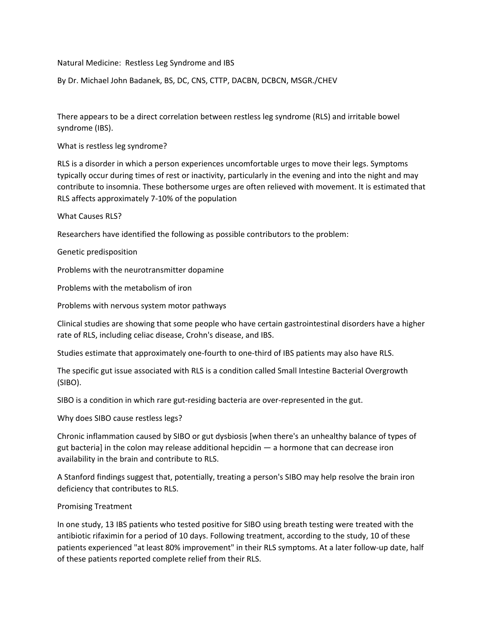Natural Medicine: Restless Leg Syndrome and IBS

By Dr. Michael John Badanek, BS, DC, CNS, CTTP, DACBN, DCBCN, MSGR./CHEV

There appears to be a direct correlation between restless leg syndrome (RLS) and irritable bowel syndrome (IBS).

What is restless leg syndrome?

RLS is a disorder in which a person experiences uncomfortable urges to move their legs. Symptoms typically occur during times of rest or inactivity, particularly in the evening and into the night and may contribute to insomnia. These bothersome urges are often relieved with movement. It is estimated that RLS affects approximately 7-10% of the population

What Causes RLS?

Researchers have identified the following as possible contributors to the problem:

Genetic predisposition

Problems with the neurotransmitter dopamine

Problems with the metabolism of iron

Problems with nervous system motor pathways

Clinical studies are showing that some people who have certain gastrointestinal disorders have a higher rate of RLS, including celiac disease, Crohn's disease, and IBS.

Studies estimate that approximately one-fourth to one-third of IBS patients may also have RLS.

The specific gut issue associated with RLS is a condition called Small Intestine Bacterial Overgrowth (SIBO).

SIBO is a condition in which rare gut-residing bacteria are over-represented in the gut.

Why does SIBO cause restless legs?

Chronic inflammation caused by SIBO or gut dysbiosis [when there's an unhealthy balance of types of gut bacteria] in the colon may release additional hepcidin — a hormone that can decrease iron availability in the brain and contribute to RLS.

A Stanford findings suggest that, potentially, treating a person's SIBO may help resolve the brain iron deficiency that contributes to RLS.

## Promising Treatment

In one study, 13 IBS patients who tested positive for SIBO using breath testing were treated with the antibiotic rifaximin for a period of 10 days. Following treatment, according to the study, 10 of these patients experienced "at least 80% improvement" in their RLS symptoms. At a later follow-up date, half of these patients reported complete relief from their RLS.